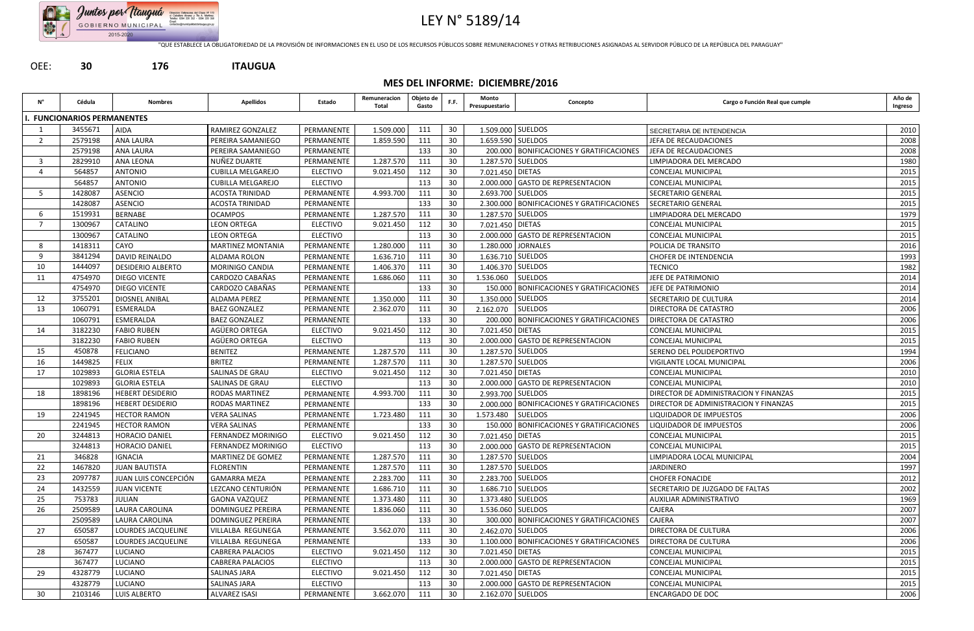

## LEY N° 5189/14

"QUE ESTABLECE LA OBLIGATORIEDAD DE LA PROVISIÓN DE INFORMACIONES EN EL USO DE LOS RECURSOS PÚBLICOS SOBRE REMUNERACIONES Y OTRAS RETRIBUCIONES ASIGNADAS AL SERVIDOR PÚBLICO DE LA REPÚBLICA DEL PARAGUAY"

OEE: **30 176 ITAUGUA**

**MES DEL INFORME: DICIEMBRE/2016**

| N° | Cédula                     | Nombres                   | <b>Apellidos</b>         | Estado          | Remuneracion<br>Total | Objeto de<br>Gasto | F.F. | Monto<br>Presupuestario | Concepto                                     | Cargo o Función Real que cumple       | Año de<br>Ingreso |
|----|----------------------------|---------------------------|--------------------------|-----------------|-----------------------|--------------------|------|-------------------------|----------------------------------------------|---------------------------------------|-------------------|
|    | . FUNCIONARIOS PERMANENTES |                           |                          |                 |                       |                    |      |                         |                                              |                                       |                   |
|    | 3455671                    | <b>AIDA</b>               | RAMIREZ GONZALEZ         | PERMANENTE      | 1.509.000             | 111                | 30   |                         | 1.509.000 SUELDOS                            | SECRETARIA DE INTENDENCIA             | 2010              |
|    | 2579198                    | <b>ANA LAURA</b>          | PEREIRA SAMANIEGO        | PERMANENTE      | 1.859.590             | 111                | 30   |                         | 1.659.590 SUELDOS                            | JEFA DE RECAUDACIONES                 | 2008              |
|    | 2579198                    | <b>ANA LAURA</b>          | PEREIRA SAMANIEGO        | PERMANENTE      |                       | 133                | 30   |                         | 200.000 BONIFICACIONES Y GRATIFICACIONES     | JEFA DE RECAUDACIONES                 | 2008              |
|    | 2829910                    | <b>ANA LEONA</b>          | NUÑEZ DUARTE             | PERMANENTE      | 1.287.570             | 111                | 30   |                         | 1.287.570 SUELDOS                            | LIMPIADORA DEL MERCADO                | 1980              |
|    | 564857                     | <b>ANTONIO</b>            | <b>CUBILLA MELGAREJO</b> | <b>ELECTIVO</b> | 9.021.450             | 112                | 30   | 7.021.450 DIETAS        |                                              | CONCEJAL MUNICIPAL                    | 2015              |
|    | 564857                     | <b>ANTONIO</b>            | <b>CUBILLA MELGAREJO</b> | <b>ELECTIVO</b> |                       | 113                | 30   |                         | 2.000.000 GASTO DE REPRESENTACION            | <b>CONCEJAL MUNICIPAL</b>             | 2015              |
| 5  | 1428087                    | <b>ASENCIO</b>            | ACOSTA TRINIDAD          | PERMANENTE      | 4.993.700             | 111                | 30   |                         | 2.693.700 SUELDOS                            | SECRETARIO GENERAL                    | 2015              |
|    | 1428087                    | <b>ASENCIO</b>            | <b>ACOSTA TRINIDAD</b>   | PERMANENTE      |                       | 133                | 30   |                         | 2.300.000   BONIFICACIONES Y GRATIFICACIONES | SECRETARIO GENERAL                    | 2015              |
| 6  | 1519931                    | <b>BERNABE</b>            | <b>OCAMPOS</b>           | PERMANENTE      | 1.287.570             | 111                | 30   | 1.287.570 SUELDOS       |                                              | LIMPIADORA DEL MERCADO                | 1979              |
|    | 1300967                    | CATALINO                  | <b>LEON ORTEGA</b>       | <b>ELECTIVO</b> | 9.021.450             | 112                | 30   | 7.021.450 DIETAS        |                                              | <b>CONCEJAL MUNICIPAL</b>             | 2015              |
|    | 1300967                    | CATALINO                  | <b>LEON ORTEGA</b>       | <b>ELECTIVO</b> |                       | 113                | 30   |                         | 2.000.000 GASTO DE REPRESENTACION            | <b>CONCEJAL MUNICIPAL</b>             | 2015              |
| 8  | 1418311                    | CAYO                      | <b>MARTINEZ MONTANIA</b> | PERMANENTE      | 1.280.000             | 111                | 30   | 1.280.000               | <b>JORNALES</b>                              | POLICIA DE TRANSITO                   | 2016              |
|    | 3841294                    | <b>DAVID REINALDO</b>     | ALDAMA ROLON             | PERMANENTE      | 1.636.710             | 111                | 30   |                         | 1.636.710 SUELDOS                            | <b>CHOFER DE INTENDENCIA</b>          | 1993              |
| 10 | 1444097                    | <b>DESIDERIO ALBERTO</b>  | MORINIGO CANDIA          | PERMANENTE      | 1.406.370             | 111                | 30   | 1.406.370 SUELDOS       |                                              | <b>TECNICO</b>                        | 1982              |
| 11 | 4754970                    | <b>DIEGO VICENTE</b>      | CARDOZO CABAÑAS          | PERMANENTE      | 1.686.060             | 111                | 30   | 1.536.060               | <b>SUELDOS</b>                               | JEFE DE PATRIMONIO                    | 2014              |
|    | 4754970                    | <b>DIEGO VICENTE</b>      | CARDOZO CABAÑAS          | PERMANENTE      |                       | 133                | 30   | 150.000                 | <b>BONIFICACIONES Y GRATIFICACIONES</b>      | JEFE DE PATRIMONIO                    | 2014              |
| 12 | 3755201                    | <b>DIOSNEL ANIBAL</b>     | <b>ALDAMA PEREZ</b>      | PERMANENTE      | 1.350.000             | 111                | 30   | 1.350.000               | <b>SUELDOS</b>                               | SECRETARIO DE CULTURA                 | 2014              |
| 13 | 1060791                    | ESMERALDA                 | <b>BAEZ GONZALEZ</b>     | PERMANENTE      | 2.362.070             | 111                | 30   | 2.162.070               | <b>SUELDOS</b>                               | DIRECTORA DE CATASTRO                 | 2006              |
|    | 1060791                    | ESMERALDA                 | <b>BAEZ GONZALEZ</b>     | PERMANENTE      |                       | 133                | 30   |                         | 200.000   BONIFICACIONES Y GRATIFICACIONES   | DIRECTORA DE CATASTRO                 | 2006              |
| 14 | 3182230                    | <b>FABIO RUBEN</b>        | AGÜERO ORTEGA            | <b>ELECTIVO</b> | 9.021.450             | 112                | 30   | 7.021.450 DIETAS        |                                              | <b>CONCEJAL MUNICIPAL</b>             | 2015              |
|    | 3182230                    | <b>FABIO RUBEN</b>        | AGÜERO ORTEGA            | <b>ELECTIVO</b> |                       | 113                | 30   |                         | 2.000.000 GASTO DE REPRESENTACION            | <b>CONCEJAL MUNICIPAL</b>             | 2015              |
| 15 | 450878                     | <b>FELICIANO</b>          | <b>BENITEZ</b>           | PERMANENTE      | 1.287.570             | 111                | 30   | 1.287.570 SUELDOS       |                                              | SERENO DEL POLIDEPORTIVO              | 1994              |
| 16 | 1449825                    | <b>FELIX</b>              | <b>BRITEZ</b>            | PERMANENTE      | 1.287.570             | 111                | 30   | 1.287.570 SUELDOS       |                                              | VIGILANTE LOCAL MUNICIPAL             | 2006              |
| 17 | 1029893                    | <b>GLORIA ESTELA</b>      | SALINAS DE GRAU          | <b>ELECTIVO</b> | 9.021.450             | 112                | 30   | 7.021.450 DIETAS        |                                              | CONCEJAL MUNICIPAL                    | 2010              |
|    | 1029893                    | <b>GLORIA ESTELA</b>      | SALINAS DE GRAU          | <b>ELECTIVO</b> |                       | 113                | 30   |                         | 2.000.000 GASTO DE REPRESENTACION            | <b>CONCEJAL MUNICIPAL</b>             | 2010              |
| 18 | 1898196                    | <b>HEBERT DESIDERIO</b>   | <b>RODAS MARTINEZ</b>    | PERMANENTE      | 4.993.700             | 111                | 30   | 2.993.700 SUELDOS       |                                              | DIRECTOR DE ADMINISTRACION Y FINANZAS | 2015              |
|    | 1898196                    | <b>HEBERT DESIDERIO</b>   | RODAS MARTINEZ           | PERMANENTE      |                       | 133                | 30   | 2.000.000               | <b>BONIFICACIONES Y GRATIFICACIONES</b>      | DIRECTOR DE ADMINISTRACION Y FINANZAS | 2015              |
| 19 | 2241945                    | <b>HECTOR RAMON</b>       | <b>VERA SALINAS</b>      | PERMANENTE      | 1.723.480             | 111                | 30   | 1.573.480               | <b>SUELDOS</b>                               | LIQUIDADOR DE IMPUESTOS               | 2006              |
|    | 2241945                    | <b>HECTOR RAMON</b>       | <b>VERA SALINAS</b>      | PERMANENTE      |                       | 133                | 30   | 150.000                 | <b>BONIFICACIONES Y GRATIFICACIONES</b>      | LIQUIDADOR DE IMPUESTOS               | 2006              |
| 20 | 3244813                    | <b>HORACIO DANIEL</b>     | FERNANDEZ MORINIGO       | ELECTIVO        | 9.021.450             | 112                | 30   | 7.021.450 DIETAS        |                                              | <b>CONCEJAL MUNICIPAL</b>             | 2015              |
|    | 3244813                    | <b>HORACIO DANIEL</b>     | FERNANDEZ MORINIGO       | <b>ELECTIVO</b> |                       | 113                | 30   |                         | 2.000.000 GASTO DE REPRESENTACION            | CONCEJAL MUNICIPAL                    | 2015              |
| 21 | 346828                     | <b>IGNACIA</b>            | MARTINEZ DE GOMEZ        | PERMANENTE      | 1.287.570             | 111                | 30   |                         | 1.287.570 SUELDOS                            | LIMPIADORA LOCAL MUNICIPAL            | 2004              |
| 22 | 1467820                    | <b>JUAN BAUTISTA</b>      | <b>FLORENTIN</b>         | PERMANENTE      | 1.287.570             | 111                | 30   |                         | 1.287.570 SUELDOS                            | <b>JARDINERO</b>                      | 1997              |
| 23 | 2097787                    | JUAN LUIS CONCEPCIÓN      | <b>GAMARRA MEZA</b>      | PERMANENTE      | 2.283.700             | 111                | 30   |                         | 2.283.700 SUELDOS                            | <b>CHOFER FONACIDE</b>                | 2012              |
| 24 | 1432559                    | <b>JUAN VICENTE</b>       | LEZCANO CENTURIÓN        | PERMANENTE      | 1.686.710             | 111                | 30   |                         | 1.686.710 SUELDOS                            | SECRETARIO DE JUZGADO DE FALTAS       | 2002              |
| 25 | 753783                     | <b>JULIAN</b>             | <b>GAONA VAZQUEZ</b>     | PERMANENTE      | 1.373.480             | 111                | 30   |                         | 1.373.480 SUELDOS                            | AUXILIAR ADMINISTRATIVO               | 1969              |
| 26 | 2509589                    | LAURA CAROLINA            | <b>DOMINGUEZ PEREIRA</b> | PERMANENTE      | 1.836.060             | 111                | 30   | 1.536.060 SUELDOS       |                                              | CAJERA                                | 2007              |
|    | 2509589                    | <b>LAURA CAROLINA</b>     | <b>DOMINGUEZ PEREIRA</b> | PERMANENTE      |                       | 133                | 30   |                         | 300.000   BONIFICACIONES Y GRATIFICACIONES   | CAJERA                                | 2007              |
| 27 | 650587                     | LOURDES JACQUELINE        | VILLALBA REGUNEGA        | PERMANENTE      | 3.562.070             | 111                | 30   |                         | 2.462.070 SUELDOS                            | DIRECTORA DE CULTURA                  | 2006              |
|    | 650587                     | <b>LOURDES JACQUELINE</b> | VILLALBA REGUNEGA        | PERMANENTE      |                       | 133                | 30   |                         | 1.100.000   BONIFICACIONES Y GRATIFICACIONES | DIRECTORA DE CULTURA                  | 2006              |
| 28 | 367477                     | LUCIANO                   | <b>CABRERA PALACIOS</b>  | <b>ELECTIVO</b> | 9.021.450             | 112                | 30   | 7.021.450 DIETAS        |                                              | <b>CONCEJAL MUNICIPAL</b>             | 2015              |
|    | 367477                     | LUCIANO                   | <b>CABRERA PALACIOS</b>  | <b>ELECTIVO</b> |                       | 113                | 30   |                         | 2.000.000 GASTO DE REPRESENTACION            | <b>CONCEJAL MUNICIPAL</b>             | 2015              |
| 29 | 4328779                    | LUCIANO                   | <b>SALINAS JARA</b>      | <b>ELECTIVO</b> | 9.021.450             | 112                | 30   | 7.021.450 DIETAS        |                                              | <b>CONCEJAL MUNICIPAL</b>             | 2015              |
|    | 4328779                    | LUCIANO                   | SALINAS JARA             | <b>ELECTIVO</b> |                       | 113                | 30   |                         | 2.000.000 GASTO DE REPRESENTACION            | <b>CONCEJAL MUNICIPAL</b>             | 2015              |
| 30 | 2103146                    | <b>LUIS ALBERTO</b>       | <b>ALVAREZ ISASI</b>     | PERMANENTE      | 3.662.070             | 111                | 30   |                         | 2.162.070 SUELDOS                            | <b>ENCARGADO DE DOC</b>               | 2006              |
|    |                            |                           |                          |                 |                       |                    |      |                         |                                              |                                       |                   |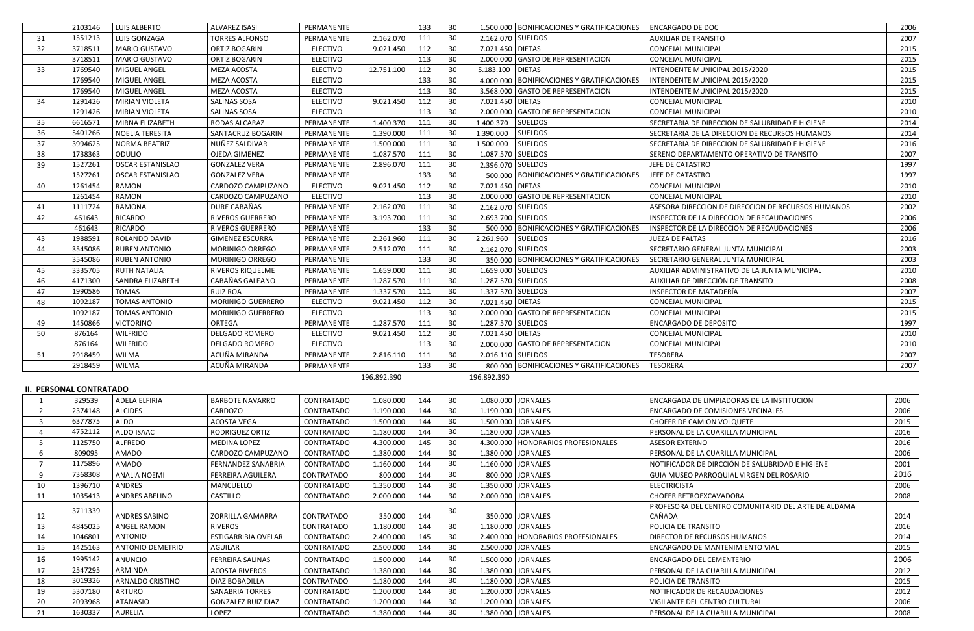|                | 2103146                        | <b>LUIS ALBERTO</b>     | <b>ALVAREZ ISASI</b>       | PERMANENTE        |             | 133 | 30              |                   | 1.500.000 BONIFICACIONES Y GRATIFICACIONES | <b>ENCARGADO DE DOC</b>                             | 2006 |
|----------------|--------------------------------|-------------------------|----------------------------|-------------------|-------------|-----|-----------------|-------------------|--------------------------------------------|-----------------------------------------------------|------|
| 31             | 1551213                        | LUIS GONZAGA            | <b>TORRES ALFONSO</b>      | PERMANENTE        | 2.162.070   | 111 | 30              |                   | 2.162.070 SUELDOS                          | <b>AUXILIAR DE TRANSITO</b>                         | 2007 |
| 32             | 3718511                        | <b>MARIO GUSTAVO</b>    | ORTIZ BOGARIN              | <b>ELECTIVO</b>   | 9.021.450   | 112 | 30              | 7.021.450 DIETAS  |                                            | CONCEJAL MUNICIPAL                                  | 2015 |
|                | 3718511                        | <b>MARIO GUSTAVO</b>    | ORTIZ BOGARIN              | <b>ELECTIVO</b>   |             | 113 | 30              |                   | 2.000.000 GASTO DE REPRESENTACION          | CONCEJAL MUNICIPAL                                  | 2015 |
| 33             | 1769540                        | MIGUEL ANGEL            | MEZA ACOSTA                | <b>ELECTIVO</b>   | 12.751.100  | 112 | 30              | 5.183.100 DIETAS  |                                            | INTENDENTE MUNICIPAL 2015/2020                      | 2015 |
|                | 1769540                        | MIGUEL ANGEL            | MEZA ACOSTA                | <b>ELECTIVO</b>   |             | 133 | 30              |                   | 4.000.000 BONIFICACIONES Y GRATIFICACIONES | INTENDENTE MUNICIPAL 2015/2020                      | 2015 |
|                | 1769540                        | MIGUEL ANGEL            | MEZA ACOSTA                | <b>ELECTIVO</b>   |             | 113 | 30              |                   | 3.568.000 GASTO DE REPRESENTACION          | INTENDENTE MUNICIPAL 2015/2020                      | 2015 |
| 34             | 1291426                        | MIRIAN VIOLETA          | SALINAS SOSA               | <b>ELECTIVO</b>   | 9.021.450   | 112 | 30              | 7.021.450 DIETAS  |                                            | <b>CONCEJAL MUNICIPAL</b>                           | 2010 |
|                | 1291426                        | MIRIAN VIOLETA          | <b>SALINAS SOSA</b>        | <b>ELECTIVO</b>   |             | 113 | 30              |                   | 2.000.000 GASTO DE REPRESENTACION          | <b>CONCEJAL MUNICIPAL</b>                           | 2010 |
| 35             | 6616571                        | MIRNA ELIZABETH         | RODAS ALCARAZ              | PERMANENTE        | 1.400.370   | 111 | 30              | 1.400.370         | <b>SUELDOS</b>                             | SECRETARIA DE DIRECCION DE SALUBRIDAD E HIGIENE     | 2014 |
| 36             | 5401266                        | <b>NOELIA TERESITA</b>  | SANTACRUZ BOGARIN          | PERMANENTE        | 1.390.000   | 111 | 30              | 1.390.000         | <b>SUELDOS</b>                             | SECRETARIA DE LA DIRECCION DE RECURSOS HUMANOS      | 2014 |
| 37             | 3994625                        | NORMA BEATRIZ           | NUÑEZ SALDIVAR             | PERMANENTE        | 1.500.000   | 111 | 30              | 1.500.000         | <b>SUELDOS</b>                             | SECRETARIA DE DIRECCION DE SALUBRIDAD E HIGIENE     | 2016 |
| 38             | 1738363                        | ODULIO                  | OJEDA GIMENEZ              | PERMANENTE        | 1.087.570   | 111 | 30              | 1.087.570 SUELDOS |                                            | SERENO DEPARTAMENTO OPERATIVO DE TRANSITO           | 2007 |
| 39             | 1527261                        | <b>OSCAR ESTANISLAO</b> | <b>GONZALEZ VERA</b>       | PERMANENTE        | 2.896.070   | 111 | 30              |                   | 2.396.070 SUELDOS                          | JEFE DE CATASTRO                                    | 1997 |
|                | 1527261                        | <b>OSCAR ESTANISLAO</b> | <b>GONZALEZ VERA</b>       | PERMANENTE        |             | 133 | 30              |                   | 500.000 BONIFICACIONES Y GRATIFICACIONES   | JEFE DE CATASTRO                                    | 1997 |
| 40             | 1261454                        | <b>RAMON</b>            | CARDOZO CAMPUZANO          | <b>ELECTIVO</b>   | 9.021.450   | 112 | 30              | 7.021.450 DIETAS  |                                            | CONCEJAL MUNICIPAL                                  | 2010 |
|                | 1261454                        | RAMON                   | CARDOZO CAMPUZANO          | <b>ELECTIVO</b>   |             | 113 | 30              |                   | 2.000.000 GASTO DE REPRESENTACION          | CONCEJAL MUNICIPAL                                  | 2010 |
| 41             | 1111724                        | <b>RAMONA</b>           | DURE CABAÑAS               | PERMANENTE        | 2.162.070   | 111 | 30              |                   | 2.162.070 SUELDOS                          | ASESORA DIRECCION DE DIRECCION DE RECURSOS HUMANOS  | 2002 |
| 42             | 461643                         | RICARDO                 | RIVEROS GUERRERO           | PERMANENTE        | 3.193.700   | 111 | 30              |                   | 2.693.700 SUELDOS                          | INSPECTOR DE LA DIRECCION DE RECAUDACIONES          | 2006 |
|                | 461643                         | RICARDO                 | RIVEROS GUERRERO           | PERMANENTE        |             | 133 | 30              |                   | 500.000   BONIFICACIONES Y GRATIFICACIONES | INSPECTOR DE LA DIRECCION DE RECAUDACIONES          | 2006 |
| 43             | 1988591                        | ROLANDO DAVID           | <b>GIMENEZ ESCURRA</b>     | PERMANENTE        | 2.261.960   | 111 | 30              | 2.261.960         | <b>SUELDOS</b>                             | JUEZA DE FALTAS                                     | 2016 |
| 44             | 3545086                        | <b>RUBEN ANTONIO</b>    | MORINIGO ORREGO            | PERMANENTE        | 2.512.070   | 111 | 30              |                   | 2.162.070 SUELDOS                          | SECRETARIO GENERAL JUNTA MUNICIPAL                  | 2003 |
|                | 3545086                        | <b>RUBEN ANTONIO</b>    | MORINIGO ORREGO            | PERMANENTE        |             | 133 | 30              |                   | 350.000   BONIFICACIONES Y GRATIFICACIONES | SECRETARIO GENERAL JUNTA MUNICIPAL                  | 2003 |
| 45             | 3335705                        | <b>RUTH NATALIA</b>     | RIVEROS RIQUELME           | PERMANENTE        | 1.659.000   | 111 | 30              |                   | 1.659.000 SUELDOS                          | AUXILIAR ADMINISTRATIVO DE LA JUNTA MUNICIPAL       | 2010 |
| 46             | 4171300                        | SANDRA ELIZABETH        | CABAÑAS GALEANO            | PERMANENTE        | 1.287.570   | 111 | 30              |                   | 1.287.570 SUELDOS                          | AUXILIAR DE DIRECCIÓN DE TRANSITO                   | 2008 |
| 47             | 1990586                        | <b>TOMAS</b>            | <b>RUIZ ROA</b>            | PERMANENTE        | 1.337.570   | 111 | 30              |                   | 1.337.570 SUELDOS                          | INSPECTOR DE MATADERÍA                              | 2007 |
| 48             | 1092187                        | TOMAS ANTONIO           | MORINIGO GUERRERO          | <b>ELECTIVO</b>   | 9.021.450   | 112 | 30              | 7.021.450 DIETAS  |                                            | CONCEJAL MUNICIPAL                                  | 2015 |
|                | 1092187                        | <b>TOMAS ANTONIO</b>    | MORINIGO GUERRERO          | <b>ELECTIVO</b>   |             | 113 | 30              |                   | 2.000.000 GASTO DE REPRESENTACION          | CONCEJAL MUNICIPAL                                  | 2015 |
| 49             | 1450866                        | <b>VICTORINO</b>        | ORTEGA                     | PERMANENTE        | 1.287.570   | 111 | 30              |                   | 1.287.570 SUELDOS                          | ENCARGADO DE DEPOSITO                               | 1997 |
| 50             | 876164                         | <b>WILFRIDO</b>         | DELGADO ROMERO             | <b>ELECTIVO</b>   | 9.021.450   | 112 | 30              | 7.021.450 DIETAS  |                                            | CONCEJAL MUNICIPAL                                  | 2010 |
|                | 876164                         | <b>WILFRIDO</b>         | DELGADO ROMERO             | <b>ELECTIVO</b>   |             | 113 | 30              |                   | 2.000.000 GASTO DE REPRESENTACION          | CONCEJAL MUNICIPAL                                  | 2010 |
| 51             | 2918459                        | <b>WILMA</b>            | ACUÑA MIRANDA              | PERMANENTE        | 2.816.110   | 111 | 30              |                   | 2.016.110 SUELDOS                          | <b>TESORERA</b>                                     | 2007 |
|                | 2918459                        | <b>WILMA</b>            | ACUÑA MIRANDA              | PERMANENTE        |             | 133 | 30              |                   | 800.000   BONIFICACIONES Y GRATIFICACIONES | <b>TESORERA</b>                                     | 2007 |
|                |                                |                         |                            |                   | 196.892.390 |     |                 | 196.892.390       |                                            |                                                     |      |
|                | <b>II. PERSONAL CONTRATADO</b> |                         |                            |                   |             |     |                 |                   |                                            |                                                     |      |
|                | 329539                         | <b>ADELA ELFIRIA</b>    | <b>BARBOTE NAVARRO</b>     | CONTRATADO        | 1.080.000   | 144 | 30              |                   | 1.080.000 JORNALES                         | ENCARGADA DE LIMPIADORAS DE LA INSTITUCION          | 2006 |
| $\overline{2}$ | 2374148                        | <b>ALCIDES</b>          | CARDOZO                    | CONTRATADO        | 1.190.000   | 144 | 30 <sup>°</sup> |                   | 1.190.000 JORNALES                         | <b>ENCARGADO DE COMISIONES VECINALES</b>            | 2006 |
| 3              | 6377875                        | ALDO                    | ACOSTA VEGA                | CONTRATADO        | 1.500.000   | 144 | 30              |                   | 1.500.000 JORNALES                         | <b>CHOFER DE CAMION VOLQUETE</b>                    | 2015 |
| 4              | 4752112                        | ALDO ISAAC              | RODRIGUEZ ORTIZ            | CONTRATADO        | 1.180.000   | 144 | 30              |                   | 1.180.000 JORNALES                         | PERSONAL DE LA CUARILLA MUNICIPAL                   | 2016 |
| 5              | 1125750                        | ALFREDO                 | <b>MEDINA LOPEZ</b>        | CONTRATADO        | 4.300.000   | 145 | 30              |                   | 4.300.000   HONORARIOS PROFESIONALES       | <b>ASESOR EXTERNO</b>                               | 2016 |
| 6              | 809095                         | AMADO                   | CARDOZO CAMPUZANO          | CONTRATADO        | 1.380.000   | 144 | 30              |                   | 1.380.000 JORNALES                         | PERSONAL DE LA CUARILLA MUNICIPAL                   | 2006 |
|                | 1175896                        | AMADO                   | <b>FERNANDEZ SANABRIA</b>  | CONTRATADO        | 1.160.000   | 144 | 30              |                   | 1.160.000 JORNALES                         | NOTIFICADOR DE DIRCCIÓN DE SALUBRIDAD E HIGIENE     | 2001 |
| 9              | 7368308                        | <b>ANALIA NOEMI</b>     | <b>FERREIRA AGUILERA</b>   | CONTRATADO        | 800.000     | 144 | 30              |                   | 800.000 JORNALES                           | GUIA MUSEO PARROQUIAL VIRGEN DEL ROSARIO            | 2016 |
| 10             | 1396710                        | ANDRES                  | MANCUELLO                  | <b>CONTRATADO</b> | 1.350.000   | 144 | 30              |                   | 1.350.000 JORNALES                         | <b>ELECTRICISTA</b>                                 | 2006 |
| 11             | 1035413                        | <b>ANDRES ABELINO</b>   | CASTILLO                   | CONTRATADO        | 2.000.000   | 144 | 30              |                   | 2.000.000 JORNALES                         | CHOFER RETROEXCAVADORA                              | 2008 |
|                |                                |                         |                            |                   |             |     |                 |                   |                                            | PROFESORA DEL CENTRO COMUNITARIO DEL ARTE DE ALDAMA |      |
| 12             | 3711339                        | <b>ANDRES SABINO</b>    | ZORRILLA GAMARRA           | CONTRATADO        | 350.000     | 144 | 30              |                   | 350.000 JORNALES                           | CAÑADA                                              | 2014 |
| 13             | 4845025                        | <b>ANGEL RAMON</b>      | <b>RIVEROS</b>             | <b>CONTRATADO</b> | 1.180.000   | 144 | 30 <sup>°</sup> |                   | 1.180.000 JORNALES                         | POLICIA DE TRANSITO                                 | 2016 |
| 14             | 1046801                        | <b>ANTONIO</b>          | <b>ESTIGARRIBIA OVELAR</b> | CONTRATADO        | 2.400.000   | 145 | 30              |                   | 2.400.000   HONORARIOS PROFESIONALES       | DIRECTOR DE RECURSOS HUMANOS                        | 2014 |
| 15             | 1425163                        | <b>ANTONIO DEMETRIO</b> | AGUILAR                    | <b>CONTRATADO</b> | 2.500.000   | 144 | 30              |                   | 2.500.000 JORNALES                         | ENCARGADO DE MANTENIMIENTO VIAL                     | 2015 |
| 16             | 1995142                        | ANUNCIO                 | <b>FERREIRA SALINAS</b>    | <b>CONTRATADO</b> | 1.500.000   | 144 | 30              |                   | 1.500.000 JORNALES                         | <b>ENCARGADO DEL CEMENTERIO</b>                     | 2006 |
| 17             | 2547295                        | ARMINDA                 | <b>ACOSTA RIVEROS</b>      | CONTRATADO        | 1.380.000   | 144 | 30              |                   | 1.380.000 JORNALES                         | PERSONAL DE LA CUARILLA MUNICIPAL                   | 2012 |
| 18             | 3019326                        | <b>ARNALDO CRISTINO</b> | DIAZ BOBADILLA             | <b>CONTRATADO</b> | 1.180.000   | 144 | 30              |                   | 1.180.000 JORNALES                         | POLICIA DE TRANSITO                                 | 2015 |
| 19             | 5307180                        | ARTURO                  | <b>SANABRIA TORRES</b>     | CONTRATADO        | 1.200.000   | 144 | 30              |                   | 1.200.000 JORNALES                         | NOTIFICADOR DE RECAUDACIONES                        | 2012 |
| 20             | 2093968                        | <b>ATANASIO</b>         | <b>GONZALEZ RUIZ DIAZ</b>  | CONTRATADO        | 1.200.000   | 144 | 30              |                   | 1.200.000 JORNALES                         | VIGILANTE DEL CENTRO CULTURAL                       | 2006 |
| 21             | 1630337                        | AURELIA                 | LOPEZ                      | CONTRATADO        | 1.380.000   | 144 | 30              |                   | 1.380.000 JORNALES                         | PERSONAL DE LA CUARILLA MUNICIPAL                   | 2008 |
|                |                                |                         |                            |                   |             |     |                 |                   |                                            |                                                     |      |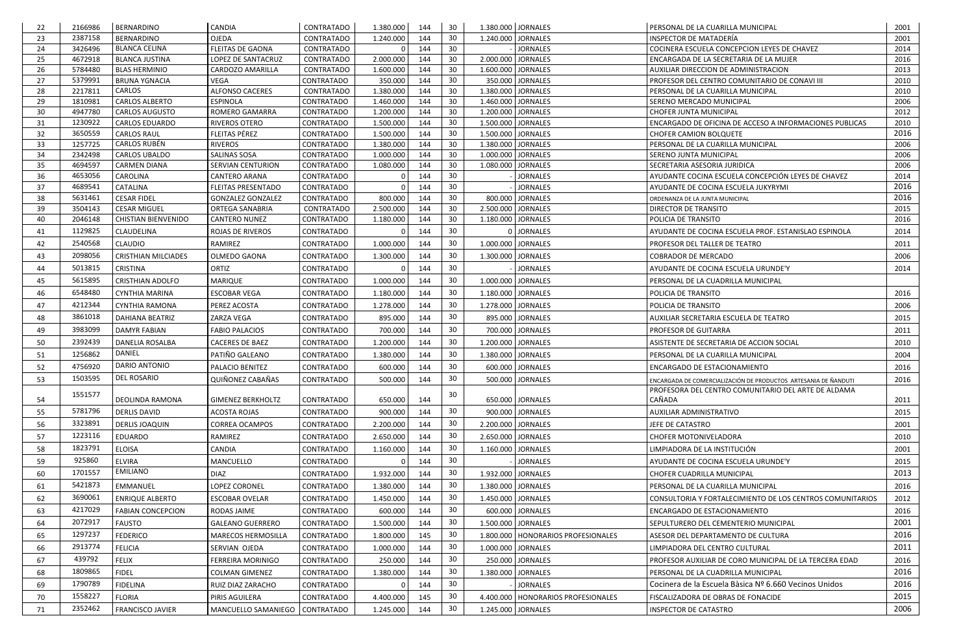| 22       | 2166986            | <b>BERNARDINO</b>                           | <b>CANDIA</b>                         | CONTRATADO                      | 1.380.000              | 144        | 30       | 1.380.000 JORNALES                       | PERSONAL DE LA CUARILLA MUNICIPAL                                                                                      | 2001         |
|----------|--------------------|---------------------------------------------|---------------------------------------|---------------------------------|------------------------|------------|----------|------------------------------------------|------------------------------------------------------------------------------------------------------------------------|--------------|
| 23       | 2387158            | BERNARDINO                                  | <b>OJEDA</b>                          | <b>CONTRATADO</b>               | 1.240.000              | 144        | 30       | 1.240.000<br><b>JORNALES</b>             | INSPECTOR DE MATADERÍA                                                                                                 | 2001         |
| 24       | 3426496            | <b>BLANCA CELINA</b>                        | <b>FLEITAS DE GAONA</b>               | CONTRATADO                      |                        | 144        | 30       | <b>JORNALES</b>                          | COCINERA ESCUELA CONCEPCION LEYES DE CHAVEZ                                                                            | 2014         |
| 25       | 4672918            | <b>BLANCA JUSTINA</b>                       | LOPEZ DE SANTACRUZ                    | CONTRATADO                      | 2.000.000              | 144        | 30       | 2.000.000 JORNALES                       | ENCARGADA DE LA SECRETARIA DE LA MUJER                                                                                 | 2016         |
| 26       | 5784480            | <b>BLAS HERMINIO</b>                        | CARDOZO AMARILLA                      | <b>CONTRATADO</b>               | 1.600.000              | 144        | 30       | 1.600.000 JORNALES                       | AUXILIAR DIRECCION DE ADMINISTRACION                                                                                   | 2013         |
| 27       | 5379991            | <b>BRUNA YGNACIA</b>                        | VEGA                                  | CONTRATADO                      | 350.000                | 144        | 30       | 350.000 JORNALES                         | PROFESOR DEL CENTRO COMUNITARIO DE CONAVI III                                                                          | 2010         |
| 28       | 2217811            | CARLOS                                      | <b>ALFONSO CACERES</b>                | CONTRATADO                      | 1.380.000              | 144        | 30       | 1.380.000<br><b>JORNALES</b>             | PERSONAL DE LA CUARILLA MUNICIPAL                                                                                      | 2010         |
| 29       | 1810981            | <b>CARLOS ALBERTO</b>                       | <b>ESPINOLA</b>                       | CONTRATADO                      | 1.460.000              | 144        | 30       | 1.460.000 JORNALES                       | SERENO MERCADO MUNICIPAL                                                                                               | 2006         |
| 30       | 4947780            | <b>CARLOS AUGUSTO</b>                       | ROMERO GAMARRA                        | <b>CONTRATADO</b>               | 1.200.000              | 144        | 30       | 1.200.000<br><b>JORNALES</b>             | <b>CHOFER JUNTA MUNICIPAL</b>                                                                                          | 2012         |
| 31       | 1230922            | <b>CARLOS EDUARDO</b>                       | <b>RIVEROS OTERO</b>                  | CONTRATADO                      | 1.500.000              | 144        | 30       | 1.500.000 JORNALES                       | ENCARGADO DE OFICINA DE ACCESO A INFORMACIONES PUBLICAS                                                                | 2010         |
| 32       | 3650559            | <b>CARLOS RAUL</b>                          | FLEITAS PÉREZ                         | CONTRATADO                      | 1.500.000              | 144        | 30       | 1.500.000 JORNALES                       | <b>CHOFER CAMION BOLQUETE</b>                                                                                          | 2016         |
| 33<br>34 | 1257725<br>2342498 | <b>CARLOS RUBÉN</b><br><b>CARLOS UBALDO</b> | <b>RIVEROS</b><br><b>SALINAS SOSA</b> | <b>CONTRATADO</b><br>CONTRATADO | 1.380.000              | 144<br>144 | 30<br>30 | 1.380.000 JORNALES<br>1.000.000 JORNALES | PERSONAL DE LA CUARILLA MUNICIPAL                                                                                      | 2006<br>2006 |
| 35       | 4694597            | <b>CARMEN DIANA</b>                         | <b>SERVIAN CENTURION</b>              | <b>CONTRATADO</b>               | 1.000.000<br>1.080.000 | 144        | 30       | 1.080.000 JORNALES                       | SERENO JUNTA MUNICIPAL<br>SECRETARIA ASESORIA JURIDICA                                                                 | 2006         |
| 36       | 4653056            | CAROLINA                                    | CANTERO ARANA                         | CONTRATADO                      |                        | 144        | 30       | <b>JORNALES</b>                          | AYUDANTE COCINA ESCUELA CONCEPCIÓN LEYES DE CHAVEZ                                                                     | 2014         |
| 37       | 4689541            | <b>CATALINA</b>                             | <b>FLEITAS PRESENTADO</b>             | CONTRATADO                      |                        | 144        | 30       | <b>JORNALES</b>                          | AYUDANTE DE COCINA ESCUELA JUKYRYMI                                                                                    | 2016         |
| 38       | 5631461            | <b>CESAR FIDEL</b>                          | <b>GONZALEZ GONZALEZ</b>              | CONTRATADO                      | 800.000                | 144        | 30       | 800.000 JORNALES                         | ORDENANZA DE LA JUNTA MUNICIPAL                                                                                        | 2016         |
| 39       | 3504143            | <b>CESAR MIGUEL</b>                         | ORTEGA SANABRIA                       | CONTRATADO                      | 2.500.000              | 144        | 30       | 2.500.000 JORNALES                       | DIRECTOR DE TRANSITO                                                                                                   | 2015         |
| 40       | 2046148            | <b>CHISTIAN BIENVENIDO</b>                  | <b>CANTERO NUNEZ</b>                  | CONTRATADO                      | 1.180.000              | 144        | 30       | 1.180.000 JORNALES                       | POLICIA DE TRANSITO                                                                                                    | 2016         |
| 41       | 1129825            | CLAUDELINA                                  | <b>ROJAS DE RIVEROS</b>               | <b>CONTRATADO</b>               |                        | 144        | 30       | <b>JORNALES</b>                          | AYUDANTE DE COCINA ESCUELA PROF. ESTANISLAO ESPINOLA                                                                   | 2014         |
|          | 2540568            |                                             |                                       |                                 |                        |            | 30       | 1.000.000 JORNALES                       |                                                                                                                        |              |
| 42       |                    | <b>CLAUDIO</b>                              | RAMIREZ                               | CONTRATADO                      | 1.000.000              | 144        |          |                                          | PROFESOR DEL TALLER DE TEATRO                                                                                          | 2011         |
| 43       | 2098056            | <b>CRISTHIAN MILCIADES</b>                  | OLMEDO GAONA                          | <b>CONTRATADO</b>               | 1.300.000              | 144        | 30       | 1.300.000 JORNALES                       | <b>COBRADOR DE MERCADO</b>                                                                                             | 2006         |
| 44       | 5013815            | <b>CRISTINA</b>                             | ORTIZ                                 | CONTRATADO                      |                        | 144        | 30       | <b>JORNALES</b>                          | AYUDANTE DE COCINA ESCUELA URUNDE'Y                                                                                    | 2014         |
| 45       | 5615895            | <b>CRISTHIAN ADOLFO</b>                     | <b>MARIQUE</b>                        | CONTRATADO                      | 1.000.000              | 144        | 30       | 1.000.000 JORNALES                       | PERSONAL DE LA CUADRILLA MUNICIPAL                                                                                     |              |
| 46       | 6548480            | <b>CYNTHIA MARINA</b>                       | <b>ESCOBAR VEGA</b>                   | <b>CONTRATADO</b>               | 1.180.000              | 144        | 30       | 1.180.000 JORNALES                       | POLICIA DE TRANSITO                                                                                                    | 2016         |
| 47       | 4212344            | <b>CYNTHIA RAMONA</b>                       | PEREZ ACOSTA                          | <b>CONTRATADO</b>               | 1.278.000              | 144        | 30       | 1.278.000 JORNALES                       | POLICIA DE TRANSITO                                                                                                    | 2006         |
| 48       | 3861018            | DAHIANA BEATRIZ                             | ZARZA VEGA                            | <b>CONTRATADO</b>               | 895.000                | 144        | 30       | 895.000 JORNALES                         | AUXILIAR SECRETARIA ESCUELA DE TEATRO                                                                                  | 2015         |
| 49       | 3983099            | <b>DAMYR FABIAN</b>                         | <b>FABIO PALACIOS</b>                 | <b>CONTRATADO</b>               | 700.000                | 144        | 30       | 700.000 JORNALES                         | PROFESOR DE GUITARRA                                                                                                   | 2011         |
| 50       | 2392439            | DANELIA ROSALBA                             | <b>CACERES DE BAEZ</b>                | CONTRATADO                      | 1.200.000              | 144        | 30       | 1.200.000 JORNALES                       | ASISTENTE DE SECRETARIA DE ACCION SOCIAL                                                                               | 2010         |
| 51       | 1256862            | DANIEL                                      | PATIÑO GALEANO                        | CONTRATADO                      | 1.380.000              | 144        | 30       | 1.380.000 JORNALES                       | PERSONAL DE LA CUARILLA MUNICIPAL                                                                                      | 2004         |
| 52       | 4756920            | DARIO ANTONIO                               | PALACIO BENITEZ                       | <b>CONTRATADO</b>               | 600.000                | 144        | 30       | 600.000 JORNALES                         | ENCARGADO DE ESTACIONAMIENTO                                                                                           | 2016         |
|          | 1503595            | <b>DEL ROSARIO</b>                          | QUIÑONEZ CABAÑAS                      | CONTRATADO                      |                        |            | 30       |                                          |                                                                                                                        |              |
| -53      |                    |                                             |                                       |                                 | 500.000                | 144        |          | 500.000 JORNALES                         | ENCARGADA DE COMERCIALIZACIÓN DE PRODUCTOS ARTESANIA DE ÑANDUTI<br>PROFESORA DEL CENTRO COMUNITARIO DEL ARTE DE ALDAMA | 2016         |
| 54       | 1551577            | DEOLINDA RAMONA                             | <b>GIMENEZ BERKHOLTZ</b>              | CONTRATADO                      | 650.000                | 144        | 30       | 650.000 JORNALES                         | CAÑADA                                                                                                                 | 2011         |
| 55       | 5781796            | <b>DERLIS DAVID</b>                         | <b>ACOSTA ROJAS</b>                   | CONTRATADO                      | 900.000                | 144        | 30       | 900.000 JORNALES                         | AUXILIAR ADMINISTRATIVO                                                                                                | 2015         |
| 56       | 3323891            | <b>DERLIS JOAQUIN</b>                       | <b>CORREA OCAMPOS</b>                 | CONTRATADO                      | 2.200.000              | 144        | 30       | 2.200.000 JORNALES                       | JEFE DE CATASTRO                                                                                                       | 2001         |
|          | 1223116            | <b>EDUARDO</b>                              | RAMIREZ                               | CONTRATADO                      |                        |            | 30       | 2.650.000 JORNALES                       |                                                                                                                        |              |
| 57       | 1823791            |                                             |                                       |                                 | 2.650.000              | 144        |          |                                          | <b>CHOFER MOTONIVELADORA</b>                                                                                           | 2010         |
| 58       |                    | <b>ELOISA</b>                               | CANDIA                                | CONTRATADO                      | 1.160.000              | 144        | 30       | 1.160.000 JORNALES                       | LIMPIADORA DE LA INSTITUCIÓN                                                                                           | 2001         |
| 59       | 925860             | <b>ELVIRA</b>                               | MANCUELLO                             | <b>CONTRATADO</b>               |                        | 144        | 30       | <b>JORNALES</b>                          | AYUDANTE DE COCINA ESCUELA URUNDE'Y                                                                                    | 2015         |
| 60       | 1701557            | <b>EMILIANO</b>                             | <b>DIAZ</b>                           | CONTRATADO                      | 1.932.000              | 144        | 30       | 1.932.000 JORNALES                       | CHOFER CUADRILLA MUNICIPAL                                                                                             | 2013         |
| 61       | 5421873            | <b>EMMANUEL</b>                             | LOPEZ CORONEL                         | CONTRATADO                      | 1.380.000              | 144        | 30       | 1.380.000 JORNALES                       | PERSONAL DE LA CUARILLA MUNICIPAL                                                                                      | 2016         |
| 62       | 3690061            | <b>ENRIQUE ALBERTO</b>                      | <b>ESCOBAR OVELAR</b>                 | CONTRATADO                      | 1.450.000              | 144        | 30       | 1.450.000 JORNALES                       | CONSULTORIA Y FORTALECIMIENTO DE LOS CENTROS COMUNITARIOS                                                              | 2012         |
| 63       | 4217029            | <b>FABIAN CONCEPCION</b>                    | RODAS JAIME                           | CONTRATADO                      | 600.000                | 144        | 30       | 600.000 JORNALES                         | ENCARGADO DE ESTACIONAMIENTO                                                                                           | 2016         |
| 64       | 2072917            | <b>FAUSTO</b>                               | <b>GALEANO GUERRERO</b>               | <b>CONTRATADO</b>               | 1.500.000              | 144        | 30       | 1.500.000 JORNALES                       | SEPULTURERO DEL CEMENTERIO MUNICIPAL                                                                                   | 2001         |
| 65       | 1297237            | <b>FEDERICO</b>                             | MARECOS HERMOSILLA                    | CONTRATADO                      | 1.800.000              | 145        | 30       | 1.800.000   HONORARIOS PROFESIONALES     | ASESOR DEL DEPARTAMENTO DE CULTURA                                                                                     | 2016         |
| 66       | 2913774            | <b>FELICIA</b>                              | SERVIAN OJEDA                         | CONTRATADO                      | 1.000.000              | 144        | 30       | 1.000.000 JORNALES                       | LIMPIADORA DEL CENTRO CULTURAL                                                                                         | 2011         |
| 67       | 439792             | <b>FELIX</b>                                | FERREIRA MORINIGO                     | CONTRATADO                      | 250.000                | 144        | 30       | 250.000 JORNALES                         | PROFESOR AUXILIAR DE CORO MUNICIPAL DE LA TERCERA EDAD                                                                 | 2016         |
|          | 1809865            |                                             |                                       |                                 |                        |            | 30       |                                          |                                                                                                                        | 2016         |
| 68       | 1790789            | <b>FIDEL</b>                                | <b>COLMAN GIMENEZ</b>                 | CONTRATADO                      | 1.380.000              | 144        |          | 1.380.000 JORNALES                       | PERSONAL DE LA CUADRILLA MUNICIPAL                                                                                     |              |
| 69       |                    | <b>FIDELINA</b>                             | RUIZ DIAZ ZARACHO                     | CONTRATADO                      |                        | 144        | 30       | <b>JORNALES</b>                          | Cocinera de la Escuela Bàsica Nº 6.660 Vecinos Unidos                                                                  | 2016         |
| 70       | 1558227            | <b>FLORIA</b>                               | PIRIS AGUILERA                        | CONTRATADO                      | 4.400.000              | 145        | 30       | 4.400.000   HONORARIOS PROFESIONALES     | FISCALIZADORA DE OBRAS DE FONACIDE                                                                                     | 2015         |
| 71       | 2352462            | <b>FRANCISCO JAVIER</b>                     | MANCUELLO SAMANIEGO   CONTRATADO      |                                 | 1.245.000              | 144        | 30       | 1.245.000 JORNALES                       | <b>INSPECTOR DE CATASTRO</b>                                                                                           | 2006         |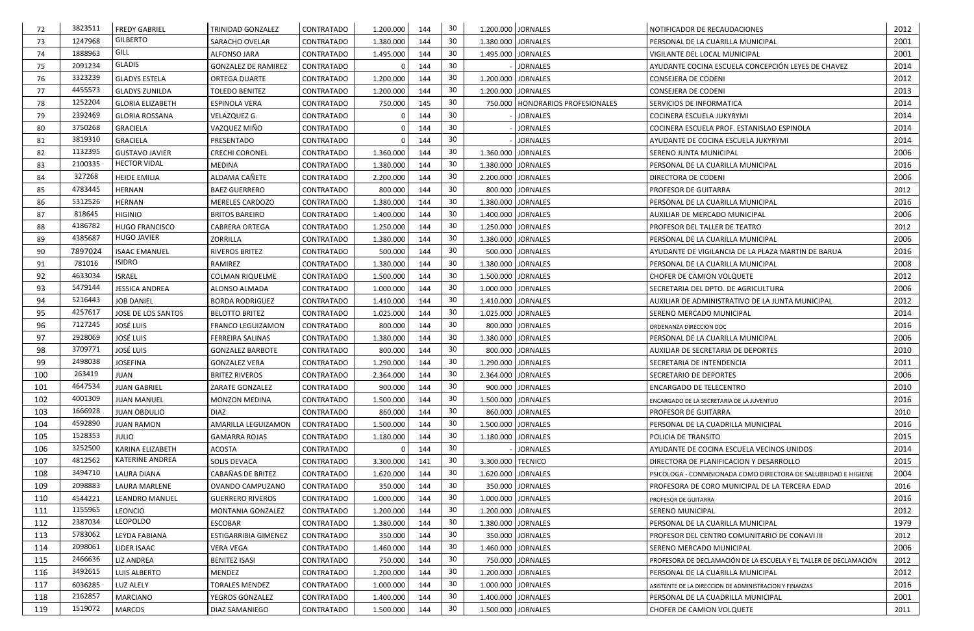| 72  | 3823511 | <b>FREDY GABRIEL</b>    | TRINIDAD GONZALEZ          | CONTRATADO        | 1.200.000 | 144 | 30              |                    | 1.200.000 JORNALES                 | NOTIFICADOR DE RECAUDACIONES                                      | 2012 |
|-----|---------|-------------------------|----------------------------|-------------------|-----------|-----|-----------------|--------------------|------------------------------------|-------------------------------------------------------------------|------|
| 73  | 1247968 | <b>GILBERTO</b>         | SARACHO OVELAR             | CONTRATADO        | 1.380.000 | 144 | 30              | 1.380.000 JORNALES |                                    | PERSONAL DE LA CUARILLA MUNICIPAL                                 | 2001 |
| 74  | 1888963 | GILL                    | ALFONSO JARA               | CONTRATADO        | 1.495.000 | 144 | 30              |                    | 1.495.000 JORNALES                 | VIGILANTE DEL LOCAL MUNICIPAL                                     | 2001 |
| 75  | 2091234 | <b>GLADIS</b>           | <b>GONZALEZ DE RAMIREZ</b> | CONTRATADO        |           | 144 | 30              |                    | <b>JORNALES</b>                    | AYUDANTE COCINA ESCUELA CONCEPCIÓN LEYES DE CHAVEZ                | 2014 |
| 76  | 3323239 | <b>GLADYS ESTELA</b>    | <b>ORTEGA DUARTE</b>       | CONTRATADO        | 1.200.000 | 144 | 30              |                    | 1.200.000 JORNALES                 | CONSEJERA DE CODENI                                               | 2012 |
| 77  | 4455573 | <b>GLADYS ZUNILDA</b>   | TOLEDO BENITEZ             | CONTRATADO        | 1.200.000 | 144 | 30              |                    | 1.200.000 JORNALES                 | <b>CONSEJERA DE CODENI</b>                                        | 2013 |
| 78  | 1252204 | <b>GLORIA ELIZABETH</b> | <b>ESPINOLA VERA</b>       | <b>CONTRATADO</b> | 750.000   | 145 | 30              |                    | 750.000   HONORARIOS PROFESIONALES | SERVICIOS DE INFORMATICA                                          | 2014 |
| 79  | 2392469 | <b>GLORIA ROSSANA</b>   | VELAZQUEZ G.               | CONTRATADO        |           | 144 | 30              |                    | <b>JORNALES</b>                    | <b>COCINERA ESCUELA JUKYRYMI</b>                                  | 2014 |
| 80  | 3750268 | <b>GRACIELA</b>         | VAZQUEZ MIÑO               | <b>CONTRATADO</b> |           | 144 | 30              |                    | <b>JORNALES</b>                    | COCINERA ESCUELA PROF. ESTANISLAO ESPINOLA                        | 2014 |
| 81  | 3819310 | <b>GRACIELA</b>         | PRESENTADO                 | CONTRATADO        |           | 144 | 30              |                    | <b>JORNALES</b>                    | AYUDANTE DE COCINA ESCUELA JUKYRYMI                               | 2014 |
| 82  | 1132395 | <b>GUSTAVO JAVIER</b>   | <b>CRECHI CORONEL</b>      | CONTRATADO        | 1.360.000 | 144 | 30              | 1.360.000 JORNALES |                                    | SERENO JUNTA MUNICIPAL                                            | 2006 |
| 83  | 2100335 | <b>HECTOR VIDAL</b>     | <b>MEDINA</b>              | CONTRATADO        | 1.380.000 | 144 | 30              | 1.380.000 JORNALES |                                    | PERSONAL DE LA CUARILLA MUNICIPAL                                 | 2016 |
| 84  | 327268  | <b>HEIDE EMILIA</b>     | ALDAMA CAÑETE              | CONTRATADO        | 2.200.000 | 144 | 30              |                    | 2.200.000 JORNALES                 | DIRECTORA DE CODENI                                               | 2006 |
| 85  | 4783445 | <b>HERNAN</b>           | <b>BAEZ GUERRERO</b>       | CONTRATADO        | 800.000   | 144 | 30              |                    | 800.000 JORNALES                   | PROFESOR DE GUITARRA                                              | 2012 |
| 86  | 5312526 | <b>HERNAN</b>           | <b>MERELES CARDOZO</b>     | CONTRATADO        | 1.380.000 | 144 | 30              | 1.380.000 JORNALES |                                    | PERSONAL DE LA CUARILLA MUNICIPAL                                 | 2016 |
| 87  | 818645  | <b>HIGINIO</b>          | <b>BRITOS BAREIRO</b>      | CONTRATADO        | 1.400.000 | 144 | 30              |                    | 1.400.000 JORNALES                 | AUXILIAR DE MERCADO MUNICIPAL                                     | 2006 |
| 88  | 4186782 | <b>HUGO FRANCISCO</b>   | <b>CABRERA ORTEGA</b>      | CONTRATADO        | 1.250.000 | 144 | 30              |                    | 1.250.000 JORNALES                 | PROFESOR DEL TALLER DE TEATRO                                     | 2012 |
| 89  | 4385687 | <b>HUGO JAVIER</b>      | ZORRILLA                   | <b>CONTRATADO</b> | 1.380.000 | 144 | 30              |                    | 1.380.000 JORNALES                 | PERSONAL DE LA CUARILLA MUNICIPAL                                 | 2006 |
| 90  | 7897024 | <b>ISAAC EMANUEL</b>    | <b>RIVEROS BRITEZ</b>      | CONTRATADO        | 500.000   | 144 | 30              |                    | 500.000 JORNALES                   | AYUDANTE DE VIGILANCIA DE LA PLAZA MARTIN DE BARUA                | 2016 |
| 91  | 781016  | <b>ISIDRO</b>           | RAMIREZ                    | CONTRATADO        | 1.380.000 | 144 | 30              |                    | 1.380.000 JORNALES                 | PERSONAL DE LA CUARILLA MUNICIPAL                                 | 2008 |
| 92  | 4633034 | <b>ISRAEL</b>           | <b>COLMAN RIQUELME</b>     | CONTRATADO        | 1.500.000 | 144 | 30              |                    | 1.500.000 JORNALES                 | <b>CHOFER DE CAMION VOLQUETE</b>                                  | 2012 |
| 93  | 5479144 | <b>JESSICA ANDREA</b>   | ALONSO ALMADA              | CONTRATADO        | 1.000.000 | 144 | 30              |                    | 1.000.000 JORNALES                 | SECRETARIA DEL DPTO. DE AGRICULTURA                               | 2006 |
| 94  | 5216443 | <b>JOB DANIEL</b>       | <b>BORDA RODRIGUEZ</b>     | CONTRATADO        | 1.410.000 | 144 | 30              |                    | 1.410.000 JORNALES                 | AUXILIAR DE ADMINISTRATIVO DE LA JUNTA MUNICIPAL                  | 2012 |
| 95  | 4257617 | JOSE DE LOS SANTOS      | <b>BELOTTO BRITEZ</b>      | <b>CONTRATADO</b> | 1.025.000 | 144 | 30              |                    | 1.025.000 JORNALES                 | SERENO MERCADO MUNICIPAL                                          | 2014 |
| 96  | 7127245 | <b>JOSÉ LUIS</b>        | <b>FRANCO LEGUIZAMON</b>   | CONTRATADO        | 800.000   | 144 | 30              |                    | 800.000 JORNALES                   | ORDENANZA DIRECCION DOC                                           | 2016 |
| 97  | 2928069 | <b>JOSÉ LUIS</b>        | <b>FERREIRA SALINAS</b>    | CONTRATADO        | 1.380.000 | 144 | 30              | 1.380.000 JORNALES |                                    | PERSONAL DE LA CUARILLA MUNICIPAL                                 | 2006 |
| 98  | 3709771 | <b>JOSÉ LUIS</b>        | <b>GONZALEZ BARBOTE</b>    | CONTRATADO        | 800.000   | 144 | 30              |                    | 800.000 JORNALES                   | AUXILIAR DE SECRETARIA DE DEPORTES                                | 2010 |
| 99  | 2498038 | <b>JOSEFINA</b>         | <b>GONZALEZ VERA</b>       | CONTRATADO        | 1.290.000 | 144 | 30              |                    | 1.290.000 JORNALES                 | SECRETARIA DE INTENDENCIA                                         | 2011 |
| 100 | 263419  | <b>JUAN</b>             | <b>BRITEZ RIVEROS</b>      | CONTRATADO        | 2.364.000 | 144 | 30 <sup>°</sup> |                    | 2.364.000 JORNALES                 | SECRETARIO DE DEPORTES                                            | 2006 |
| 101 | 4647534 | <b>JUAN GABRIEL</b>     | ZARATE GONZALEZ            | CONTRATADO        | 900.000   | 144 | 30              |                    | 900.000 JORNALES                   | ENCARGADO DE TELECENTRO                                           | 2010 |
| 102 | 4001309 | <b>JUAN MANUEL</b>      | <b>MONZON MEDINA</b>       | <b>CONTRATADO</b> | 1.500.000 | 144 | 30              |                    | 1.500.000 JORNALES                 | ENCARGADO DE LA SECRETARIA DE LA JUVENTUD                         | 2016 |
| 103 | 1666928 | <b>JUAN OBDULIO</b>     | <b>DIAZ</b>                | CONTRATADO        | 860.000   | 144 | 30              |                    | 860.000 JORNALES                   | PROFESOR DE GUITARRA                                              | 2010 |
| 104 | 4592890 | <b>JUAN RAMON</b>       | AMARILLA LEGUIZAMON        | CONTRATADO        | 1.500.000 | 144 | 30              |                    | 1.500.000 JORNALES                 | PERSONAL DE LA CUADRILLA MUNICIPAL                                | 2016 |
| 105 | 1528353 | <b>JULIO</b>            | <b>GAMARRA ROJAS</b>       | CONTRATADO        | 1.180.000 | 144 | 30              |                    | 1.180.000 JORNALES                 | POLICIA DE TRANSITO                                               | 2015 |
| 106 | 3252500 | KARINA ELIZABETH        | ACOSTA                     | CONTRATADO        |           | 144 | 30              |                    | <b>JORNALES</b>                    | AYUDANTE DE COCINA ESCUELA VECINOS UNIDOS                         | 2014 |
| 107 | 4812562 | <b>KATERINE ANDREA</b>  | SOLIS DEVACA               | CONTRATADO        | 3.300.000 | 141 | 30              | 3.300.000 TECNICO  |                                    | DIRECTORA DE PLANIFICACION Y DESARROLLO                           | 2015 |
| 108 | 3494710 | LAURA DIANA             | CABAÑAS DE BRITEZ          | CONTRATADO        | 1.620.000 | 144 | 30              |                    | 1.620.000 JORNALES                 | PSICOLOGA - CONMISIONADA COMO DIRECTORA DE SALUBRIDAD E HIGIENE   | 2004 |
| 109 | 2098883 | LAURA MARLENE           | OVANDO CAMPUZANO           | CONTRATADO        | 350.000   | 144 | 30              |                    | 350.000 JORNALES                   | PROFESORA DE CORO MUNICIPAL DE LA TERCERA EDAD                    | 2016 |
| 110 | 4544221 | <b>LEANDRO MANUEL</b>   | <b>GUERRERO RIVEROS</b>    | CONTRATADO        | 1.000.000 | 144 | 30              |                    | 1.000.000 JORNALES                 | PROFESOR DE GUITARRA                                              | 2016 |
| 111 | 1155965 | <b>LEONCIO</b>          | <b>MONTANIA GONZALEZ</b>   | CONTRATADO        | 1.200.000 | 144 | 30              |                    | 1.200.000 JORNALES                 | <b>SERENO MUNICIPAL</b>                                           | 2012 |
| 112 | 2387034 | LEOPOLDO                | <b>ESCOBAR</b>             | CONTRATADO        | 1.380.000 | 144 | 30              |                    | 1.380.000 JORNALES                 | PERSONAL DE LA CUARILLA MUNICIPAL                                 | 1979 |
| 113 | 5783062 | LEYDA FABIANA           | ESTIGARRIBIA GIMENEZ       | CONTRATADO        | 350.000   | 144 | 30              |                    | 350.000 JORNALES                   | PROFESOR DEL CENTRO COMUNITARIO DE CONAVI III                     | 2012 |
| 114 | 2098061 | LIDER ISAAC             | <b>VERA VEGA</b>           | CONTRATADO        | 1.460.000 | 144 | 30              |                    | 1.460.000 JORNALES                 | SERENO MERCADO MUNICIPAL                                          | 2006 |
| 115 | 2466636 | <b>LIZ ANDREA</b>       | <b>BENITEZ ISASI</b>       | CONTRATADO        | 750.000   | 144 | 30              |                    | 750.000 JORNALES                   | PROFESORA DE DECLAMACIÓN DE LA ESCUELA Y EL TALLER DE DECLAMACIÓN | 2012 |
| 116 | 3492615 | LUIS ALBERTO            | MENDEZ                     | CONTRATADO        | 1.200.000 | 144 | 30              |                    | 1.200.000 JORNALES                 | PERSONAL DE LA CUARILLA MUNICIPAL                                 | 2012 |
| 117 | 6036285 | LUZ ALELY               | <b>TORALES MENDEZ</b>      | CONTRATADO        | 1.000.000 | 144 | 30              |                    | 1.000.000 JORNALES                 | ASISTENTE DE LA DIRECCION DE ADMINISTRACION Y FINANZAS            | 2016 |
| 118 | 2162857 | <b>MARCIANO</b>         | YEGROS GONZALEZ            | CONTRATADO        | 1.400.000 | 144 | 30              |                    | 1.400.000 JORNALES                 | PERSONAL DE LA CUADRILLA MUNICIPAL                                | 2001 |
| 119 | 1519072 | <b>MARCOS</b>           | DIAZ SAMANIEGO             | CONTRATADO        | 1.500.000 | 144 | 30              |                    | 1.500.000 JORNALES                 | CHOFER DE CAMION VOLQUETE                                         | 2011 |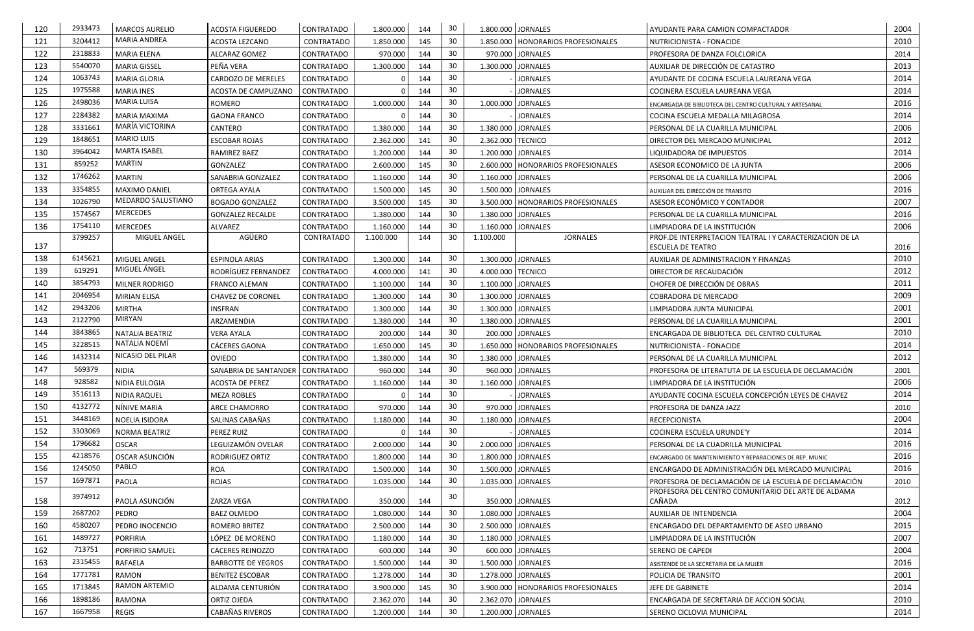| 120 | 2933473           | <b>MARCOS AURELIO</b>                   | <b>ACOSTA FIGUEREDO</b>            | CONTRATADO        | 1.800.000 | 144 | 30              |                   | 1.800.000 JORNALES                   | AYUDANTE PARA CAMION COMPACTADOR                                                                             | 2004 |
|-----|-------------------|-----------------------------------------|------------------------------------|-------------------|-----------|-----|-----------------|-------------------|--------------------------------------|--------------------------------------------------------------------------------------------------------------|------|
| 121 | 3204412           | <b>MARIA ANDREA</b>                     | <b>ACOSTA LEZCANO</b>              | <b>CONTRATADO</b> | 1.850.000 | 145 | 30              |                   | 1.850.000   HONORARIOS PROFESIONALES | NUTRICIONISTA - FONACIDE                                                                                     | 2010 |
| 122 | 2318833           | <b>MARIA ELENA</b>                      | ALCARAZ GOMEZ                      | CONTRATADO        | 970.000   | 144 | 30              |                   | 970.000 JORNALES                     | PROFESORA DE DANZA FOLCLORICA                                                                                | 2014 |
| 123 | 5540070           | <b>MARIA GISSEL</b>                     | PEÑA VERA                          | CONTRATADO        | 1.300.000 | 144 | 30              |                   | 1.300.000 JORNALES                   | AUXILIAR DE DIRECCIÓN DE CATASTRO                                                                            | 2013 |
| 124 | 1063743           | <b>MARIA GLORIA</b>                     | <b>CARDOZO DE MERELES</b>          | CONTRATADO        |           | 144 | 30              |                   | <b>JORNALES</b>                      | AYUDANTE DE COCINA ESCUELA LAUREANA VEGA                                                                     | 2014 |
| 125 | 1975588           | <b>MARIA INES</b>                       | ACOSTA DE CAMPUZANO                | <b>CONTRATADO</b> |           | 144 | 30              |                   | <b>JORNALES</b>                      | COCINERA ESCUELA LAUREANA VEGA                                                                               | 2014 |
| 126 | 2498036           | <b>MARIA LUISA</b>                      | <b>ROMERO</b>                      | CONTRATADO        | 1.000.000 | 144 | 30              |                   | 1.000.000 JORNALES                   | ENCARGADA DE BIBLIOTECA DEL CENTRO CULTURAL Y ARTESANAL                                                      | 2016 |
| 127 | 2284382           | <b>MARIA MAXIMA</b>                     | <b>GAONA FRANCO</b>                | CONTRATADO        |           | 144 | 30              |                   | <b>JORNALES</b>                      | COCINA ESCUELA MEDALLA MILAGROSA                                                                             | 2014 |
| 128 | 3331661           | MARÍA VICTORINA                         | CANTERO                            | CONTRATADO        | 1.380.000 | 144 | 30              |                   | 1.380.000 JORNALES                   | PERSONAL DE LA CUARILLA MUNICIPAL                                                                            | 2006 |
| 129 | 1848651           | <b>MARIO LUIS</b>                       | <b>ESCOBAR ROJAS</b>               | CONTRATADO        | 2.362.000 | 141 | 30              | 2.362.000 TECNICO |                                      | DIRECTOR DEL MERCADO MUNICIPAL                                                                               | 2012 |
| 130 | 3964042           | <b>MARTA ISABEL</b>                     | RAMIREZ BAEZ                       | CONTRATADO        | 1.200.000 | 144 | 30              |                   | 1.200.000 JORNALES                   | LIQUIDADORA DE IMPUESTOS                                                                                     | 2014 |
| 131 | 859252            | <b>MARTIN</b>                           | GONZALEZ                           | CONTRATADO        | 2.600.000 | 145 | 30              |                   | 2.600.000   HONORARIOS PROFESIONALES | ASESOR ECONOMICO DE LA JUNTA                                                                                 | 2006 |
| 132 | 1746262           | <b>MARTIN</b>                           | SANABRIA GONZALEZ                  | CONTRATADO        | 1.160.000 | 144 | 30              |                   | 1.160.000 JORNALES                   | PERSONAL DE LA CUARILLA MUNICIPAL                                                                            | 2006 |
| 133 | 3354855           | <b>MAXIMO DANIEL</b>                    | <b>ORTEGA AYALA</b>                | CONTRATADO        | 1.500.000 | 145 | 30              |                   | 1.500.000 JORNALES                   | AUXILIAR DEL DIRECCIÓN DE TRANSITO                                                                           | 2016 |
| 134 | 1026790           | MEDARDO SALUSTIANO                      | <b>BOGADO GONZALEZ</b>             | CONTRATADO        | 3.500.000 | 145 | 30              |                   | 3.500.000   HONORARIOS PROFESIONALES | ASESOR ECONÓMICO Y CONTADOR                                                                                  | 2007 |
| 135 | 1574567           | <b>MERCEDES</b>                         | <b>GONZALEZ RECALDE</b>            | CONTRATADO        | 1.380.000 | 144 | 30              |                   | 1.380.000 JORNALES                   | PERSONAL DE LA CUARILLA MUNICIPAL                                                                            | 2016 |
| 136 | 1754110           | <b>MERCEDES</b>                         | ALVAREZ                            | CONTRATADO        | 1.160.000 | 144 | 30              |                   | 1.160.000 JORNALES                   | LIMPIADORA DE LA INSTITUCIÓN                                                                                 | 2006 |
|     | 3799257           | MIGUEL ANGEL                            | AGÜERO                             | <b>CONTRATADO</b> | 1.100.000 | 144 | 30              | 1.100.000         | <b>JORNALES</b>                      | PROF.DE INTERPRETACION TEATRAL I Y CARACTERIZACION DE LA                                                     |      |
| 137 |                   |                                         |                                    |                   |           |     |                 |                   |                                      | <b>ESCUELA DE TEATRO</b>                                                                                     | 2016 |
| 138 | 6145621<br>619291 | MIGUEL ANGEL<br>MIGUEL ÁNGEL            | <b>ESPINOLA ARIAS</b>              | CONTRATADO        | 1.300.000 | 144 | 30              |                   | 1.300.000 JORNALES                   | AUXILIAR DE ADMINISTRACION Y FINANZAS                                                                        | 2010 |
| 139 | 3854793           |                                         | RODRÍGUEZ FERNANDEZ                | CONTRATADO        | 4.000.000 | 141 | 30              | 4.000.000 TECNICO |                                      | DIRECTOR DE RECAUDACIÓN                                                                                      | 2012 |
| 140 | 2046954           | MILNER RODRIGO                          | FRANCO ALEMAN                      | CONTRATADO        | 1.100.000 | 144 | 30              |                   | 1.100.000 JORNALES                   | CHOFER DE DIRECCIÓN DE OBRAS                                                                                 | 2011 |
| 141 | 2943206           | <b>MIRIAN ELISA</b>                     | <b>CHAVEZ DE CORONEL</b>           | CONTRATADO        | 1.300.000 | 144 | 30              |                   | 1.300.000 JORNALES                   | COBRADORA DE MERCADO                                                                                         | 2009 |
| 142 | 2122790           | <b>MIRTHA</b><br><b>MIRYAN</b>          | <b>INSFRAN</b>                     | CONTRATADO        | 1.300.000 | 144 | 30              |                   | 1.300.000 JORNALES                   | LIMPIADORA JUNTA MUNICIPAL                                                                                   | 2001 |
| 143 |                   |                                         | ARZAMENDIA                         | CONTRATADO        | 1.380.000 | 144 | 30              |                   | 1.380.000 JORNALES                   | PERSONAL DE LA CUARILLA MUNICIPAL                                                                            | 2001 |
| 144 | 3843865           | <b>NATALIA BEATRIZ</b><br>NATALIA NOEMI | <b>VERA AYALA</b>                  | CONTRATADO        | 200.000   | 144 | 30              |                   | 200.000 JORNALES                     | ENCARGADA DE BIBLIOTECA DEL CENTRO CULTURAL                                                                  | 2010 |
| 145 | 3228515           | NICASIO DEL PILAR                       | CÁCERES GAONA                      | CONTRATADO        | 1.650.000 | 145 | 30              |                   | 1.650.000   HONORARIOS PROFESIONALES | NUTRICIONISTA - FONACIDE                                                                                     | 2014 |
| 146 | 1432314           |                                         | <b>OVIEDO</b>                      | <b>CONTRATADO</b> | 1.380.000 | 144 | 30              |                   | 1.380.000 JORNALES                   | PERSONAL DE LA CUARILLA MUNICIPAL                                                                            | 2012 |
| 147 | 569379            | <b>NIDIA</b>                            | SANABRIA DE SANTANDER   CONTRATADO |                   | 960.000   | 144 | 30              |                   | 960.000 JORNALES                     | PROFESORA DE LITERATUTA DE LA ESCUELA DE DECLAMACIÓN                                                         | 2001 |
| 148 | 928582            | NIDIA EULOGIA                           | ACOSTA DE PEREZ                    | <b>CONTRATADO</b> | 1.160.000 | 144 | 30              |                   | 1.160.000 JORNALES                   | LIMPIADORA DE LA INSTITUCIÓN                                                                                 | 2006 |
| 149 | 3516113           | NIDIA RAQUEL                            | <b>MEZA ROBLES</b>                 | CONTRATADO        |           | 144 | 30              |                   | <b>JORNALES</b>                      | AYUDANTE COCINA ESCUELA CONCEPCIÓN LEYES DE CHAVEZ                                                           | 2014 |
| 150 | 4132772           | NÍNIVE MARIA                            | ARCE CHAMORRO                      | CONTRATADO        | 970.000   | 144 | 30              |                   | 970.000 JORNALES                     | PROFESORA DE DANZA JAZZ                                                                                      | 2010 |
| 151 | 3448169           | NOELIA ISIDORA                          | SALINAS CABAÑAS                    | CONTRATADO        | 1.180.000 | 144 | 30              |                   | 1.180.000 JORNALES                   | <b>RECEPCIONISTA</b>                                                                                         | 2004 |
| 152 | 3303069           | <b>NORMA BEATRIZ</b>                    | PEREZ RUIZ                         | CONTRATADO        |           | 144 | 30              |                   | <b>JORNALES</b>                      | COCINERA ESCUELA URUNDE'Y                                                                                    | 2014 |
| 154 | 1796682           | <b>OSCAR</b>                            | LEGUIZAMÓN OVELAR                  | <b>CONTRATADO</b> | 2.000.000 | 144 | 30              |                   | 2.000.000 JORNALES                   | PERSONAL DE LA CUADRILLA MUNICIPAL                                                                           | 2016 |
| 155 | 4218576           | OSCAR ASUNCIÓN<br>PABLO                 | RODRIGUEZ ORTIZ                    | CONTRATADO        | 1.800.000 | 144 | 30              |                   | 1.800.000 JORNALES                   | ENCARGADO DE MANTENIMIENTO Y REPARACIONES DE REP. MUNIC                                                      | 2016 |
| 156 | 1245050           |                                         | <b>ROA</b>                         | CONTRATADO        | 1.500.000 | 144 | 30              |                   | 1.500.000 JORNALES                   | ENCARGADO DE ADMINISTRACIÓN DEL MERCADO MUNICIPAL                                                            | 2016 |
| 157 | 1697871           | PAOLA                                   | <b>ROJAS</b>                       | <b>CONTRATADO</b> | 1.035.000 | 144 | 30              |                   | 1.035.000 JORNALES                   | PROFESORA DE DECLAMACIÓN DE LA ESCUELA DE DECLAMACIÓN<br>PROFESORA DEL CENTRO COMUNITARIO DEL ARTE DE ALDAMA | 2010 |
| 158 | 3974912           | PAOLA ASUNCIÓN                          | ZARZA VEGA                         | CONTRATADO        | 350.000   | 144 | 30              |                   | 350.000 JORNALES                     | CAÑADA                                                                                                       | 2012 |
| 159 | 2687202           | PEDRO                                   | <b>BAEZ OLMEDO</b>                 | CONTRATADO        | 1.080.000 | 144 | 30              |                   | 1.080.000 JORNALES                   | AUXILIAR DE INTENDENCIA                                                                                      | 2004 |
| 160 | 4580207           | PEDRO INOCENCIO                         | ROMERO BRITEZ                      | CONTRATADO        | 2.500.000 | 144 | 30              |                   | 2.500.000 JORNALES                   | ENCARGADO DEL DEPARTAMENTO DE ASEO URBANO                                                                    | 2015 |
| 161 | 1489727           | <b>PORFIRIA</b>                         | LÓPEZ DE MORENO                    | CONTRATADO        | 1.180.000 | 144 | 30              |                   | 1.180.000 JORNALES                   | LIMPIADORA DE LA INSTITUCIÓN                                                                                 | 2007 |
| 162 | 713751            | PORFIRIO SAMUEL                         | <b>CACERES REINOZZO</b>            | CONTRATADO        | 600.000   | 144 | 30              |                   | 600.000 JORNALES                     | <b>SERENO DE CAPEDI</b>                                                                                      | 2004 |
| 163 | 2315455           | RAFAELA                                 | <b>BARBOTTE DE YEGROS</b>          | <b>CONTRATADO</b> | 1.500.000 | 144 | 30              |                   | 1.500.000 JORNALES                   | ASISTENDE DE LA SECRETARIA DE LA MUJER                                                                       | 2016 |
| 164 | 1771781           | RAMON                                   | <b>BENITEZ ESCOBAR</b>             | CONTRATADO        | 1.278.000 | 144 | 30              |                   | 1.278.000 JORNALES                   | POLICIA DE TRANSITO                                                                                          | 2001 |
| 165 | 1713845           | RAMON ARTEMIO                           | ALDAMA CENTURIÓN                   | <b>CONTRATADO</b> | 3.900.000 | 145 | 30              |                   | 3.900.000   HONORARIOS PROFESIONALES | JEFE DE GABINETE                                                                                             | 2014 |
| 166 | 1898186           | <b>RAMONA</b>                           | ORTIZ OJEDA                        | <b>CONTRATADO</b> | 2.362.070 | 144 | 30              |                   | 2.362.070 JORNALES                   | ENCARGADA DE SECRETARIA DE ACCION SOCIAL                                                                     | 2010 |
| 167 | 1667958           | REGIS                                   | CABAÑAS RIVEROS                    | CONTRATADO        | 1.200.000 | 144 | 30 <sup>°</sup> |                   | 1.200.000 JORNALES                   | SERENO CICLOVIA MUNICIPAL                                                                                    | 2014 |
|     |                   |                                         |                                    |                   |           |     |                 |                   |                                      |                                                                                                              |      |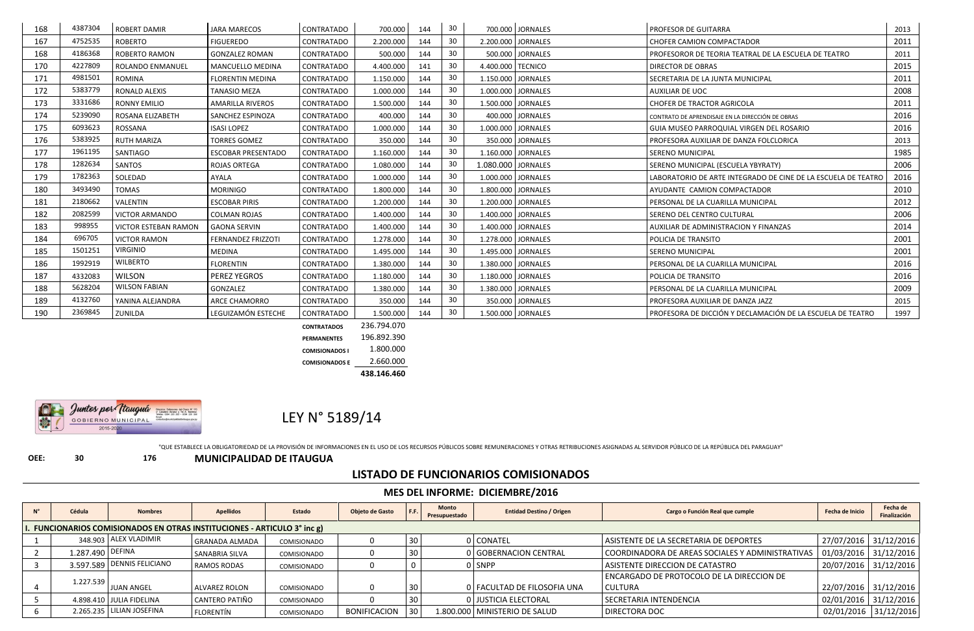LEY N° 5189/14

"QUE ESTABLECE LA OBLIGATORIEDAD DE LA PROVISIÓN DE INFORMACIONES EN EL USO DE LOS RECURSOS PÚBLICOS SOBRE REMUNERACIONES Y OTRAS RETRIBUCIONES ASIGNADAS AL SERVIDOR PÚBLICO DE LA REPÚBLICA DEL PARAGUAY"

**OEE: 30 176 MUNICIPALIDAD DE ITAUGUA**

## **LISTADO DE FUNCIONARIOS COMISIONADOS**

|                                                                                                                                                     | <b>MES DEL INFORME: DICIEMBRE/2016</b>                                   |                              |                       |                    |                     |            |                               |                                 |                                                  |                         |                          |  |  |  |  |
|-----------------------------------------------------------------------------------------------------------------------------------------------------|--------------------------------------------------------------------------|------------------------------|-----------------------|--------------------|---------------------|------------|-------------------------------|---------------------------------|--------------------------------------------------|-------------------------|--------------------------|--|--|--|--|
|                                                                                                                                                     | Cédula                                                                   | <b>Nombres</b>               | <b>Apellidos</b>      | <b>Estado</b>      | Objeto de Gasto     |            | <b>Monto</b><br>Presupuestado | <b>Entidad Destino / Origen</b> | Cargo o Función Real que cumple                  | Fecha de Inicio         | Fecha de<br>Finalización |  |  |  |  |
|                                                                                                                                                     | I. FUNCIONARIOS COMISIONADOS EN OTRAS INSTITUCIONES - ARTICULO 3° inc g) |                              |                       |                    |                     |            |                               |                                 |                                                  |                         |                          |  |  |  |  |
| 348.903 ALEX VLADIMIR<br>27/07/2016 31/12/2016<br>0 CONATEL<br>ASISTENTE DE LA SECRETARIA DE DEPORTES<br>30<br><b>GRANADA ALMADA</b><br>COMISIONADO |                                                                          |                              |                       |                    |                     |            |                               |                                 |                                                  |                         |                          |  |  |  |  |
|                                                                                                                                                     | 1.287.490 DEFINA                                                         |                              | SANABRIA SILVA        | COMISIONADO        |                     |            |                               | 0 GOBERNACION CENTRAL           | COORDINADORA DE AREAS SOCIALES Y ADMINISTRATIVAS | $01/03/2016$ 31/12/2016 |                          |  |  |  |  |
|                                                                                                                                                     |                                                                          | 3.597.589   DENNIS FELICIANO | <b>RAMOS RODAS</b>    | COMISIONADO        |                     |            |                               | 0 SNPP                          | ASISTENTE DIRECCION DE CATASTRO                  | 20/07/2016 31/12/2016   |                          |  |  |  |  |
|                                                                                                                                                     | 1.227.539                                                                |                              |                       |                    |                     |            |                               |                                 | ENCARGADO DE PROTOCOLO DE LA DIRECCION DE        |                         |                          |  |  |  |  |
|                                                                                                                                                     |                                                                          | <b>JUAN ANGEL</b>            | <b>ALVAREZ ROLON</b>  | <b>COMISIONADO</b> |                     | 30         |                               | 0   FACULTAD DE FILOSOFIA UNA   | <b>CULTURA</b>                                   | 22/07/2016 31/12/2016   |                          |  |  |  |  |
|                                                                                                                                                     |                                                                          | 4.898.410 JULIA FIDELINA     | <b>CANTERO PATIÑO</b> | COMISIONADO        |                     | -30        |                               | 0 JUSTICIA ELECTORAL            | SECRETARIA INTENDENCIA                           | 02/01/2016 31/12/2016   |                          |  |  |  |  |
|                                                                                                                                                     |                                                                          | 2.265.235 LILIAN JOSEFINA    | <b>FLORENTÍN</b>      | COMISIONADO        | <b>BONIFICACION</b> | <b>130</b> |                               | 1.800.000 MINISTERIO DE SALUD   | <b>DIRECTORA DOC</b>                             | 02/01/2016 31/12/2016   |                          |  |  |  |  |

| 168 | 4387304 | <b>ROBERT DAMIR</b>   | <b>JARA MARECOS</b>       | <b>CONTRATADO</b>  | 700.000     | 144 | 30 |                    | 700.000 JORNALES     | PROFESOR DE GUITARRA                                          | 2013 |
|-----|---------|-----------------------|---------------------------|--------------------|-------------|-----|----|--------------------|----------------------|---------------------------------------------------------------|------|
| 167 | 4752535 | <b>ROBERTO</b>        | <b>FIGUEREDO</b>          | CONTRATADO         | 2.200.000   | 144 | 30 |                    | 2.200.000 JORNALES   | <b>CHOFER CAMION COMPACTADOR</b>                              | 2011 |
| 168 | 4186368 | ROBERTO RAMON         | <b>GONZALEZ ROMAN</b>     | <b>CONTRATADO</b>  | 500.000     | 144 | 30 |                    | 500.000 JORNALES     | PROFESOROR DE TEORIA TEATRAL DE LA ESCUELA DE TEATRO          | 2011 |
| 170 | 4227809 | ROLANDO ENMANUEL      | MANCUELLO MEDINA          | <b>CONTRATADO</b>  | 4.400.000   | 141 | 30 |                    | 4.400.000 TECNICO    | <b>DIRECTOR DE OBRAS</b>                                      | 2015 |
| 171 | 4981501 | ROMINA                | <b>FLORENTIN MEDINA</b>   | CONTRATADO         | 1.150.000   | 144 | 30 |                    | 1.150.000 JORNALES   | SECRETARIA DE LA JUNTA MUNICIPAL                              | 2011 |
| 172 | 5383779 | RONALD ALEXIS         | <b>TANASIO MEZA</b>       | <b>CONTRATADO</b>  | 1.000.000   | 144 | 30 |                    | 1.000.000 JORNALES   | <b>AUXILIAR DE UOC</b>                                        | 2008 |
| 173 | 3331686 | <b>RONNY EMILIO</b>   | AMARILLA RIVEROS          | <b>CONTRATADO</b>  | 1.500.000   | 144 | 30 |                    | 1.500.000 JORNALES   | <b>CHOFER DE TRACTOR AGRICOLA</b>                             | 2011 |
| 174 | 5239090 | ROSANA ELIZABETH      | SANCHEZ ESPINOZA          | <b>CONTRATADO</b>  | 400.000     | 144 | 30 |                    | 400.000 JORNALES     | CONTRATO DE APRENDISAJE EN LA DIRECCIÓN DE OBRAS              | 2016 |
| 175 | 6093623 | ROSSANA               | <b>ISASI LOPEZ</b>        | <b>CONTRATADO</b>  | 1.000.000   | 144 | 30 |                    | 1.000.000 JORNALES   | GUIA MUSEO PARROQUIAL VIRGEN DEL ROSARIO                      | 2016 |
| 176 | 5383925 | <b>RUTH MARIZA</b>    | <b>TORRES GOMEZ</b>       | CONTRATADO         | 350.000     | 144 | 30 |                    | 350.000 JORNALES     | PROFESORA AUXILIAR DE DANZA FOLCLORICA                        | 2013 |
| 177 | 1961195 | SANTIAGO              | <b>ESCOBAR PRESENTADO</b> | CONTRATADO         | 1.160.000   | 144 | 30 |                    | 1.160.000 JORNALES   | <b>SERENO MUNICIPAL</b>                                       | 1985 |
| 178 | 1282634 | SANTOS                | <b>ROJAS ORTEGA</b>       | CONTRATADO         | 1.080.000   | 144 | 30 | 1.080.000 JORNALES |                      | SERENO MUNICIPAL (ESCUELA YBYRATY)                            | 2006 |
| 179 | 1782363 | SOLEDAD               | <b>AYALA</b>              | <b>CONTRATADO</b>  | 1.000.000   | 144 | 30 |                    | 1.000.000 JORNALES   | LABORATORIO DE ARTE INTEGRADO DE CINE DE LA ESCUELA DE TEATRO | 2016 |
| 180 | 3493490 | <b>TOMAS</b>          | <b>MORINIGO</b>           | CONTRATADO         | 1.800.000   | 144 | 30 |                    | 1.800.000 JORNALES   | AYUDANTE CAMION COMPACTADOR                                   | 2010 |
| 181 | 2180662 | VALENTIN              | <b>ESCOBAR PIRIS</b>      | CONTRATADO         | 1.200.000   | 144 | 30 |                    | 1.200.000 JORNALES   | PERSONAL DE LA CUARILLA MUNICIPAL                             | 2012 |
| 182 | 2082599 | <b>VICTOR ARMANDO</b> | <b>COLMAN ROJAS</b>       | CONTRATADO         | 1.400.000   | 144 | 30 |                    | 1.400.000   JORNALES | SERENO DEL CENTRO CULTURAL                                    | 2006 |
| 183 | 998955  | VICTOR ESTEBAN RAMON  | <b>GAONA SERVIN</b>       | <b>CONTRATADO</b>  | 1.400.000   | 144 | 30 |                    | 1.400.000 JORNALES   | AUXILIAR DE ADMINISTRACION Y FINANZAS                         | 2014 |
| 184 | 696705  | <b>VICTOR RAMON</b>   | <b>FERNANDEZ FRIZZOTI</b> | <b>CONTRATADO</b>  | 1.278.000   | 144 | 30 |                    | 1.278.000   JORNALES | POLICIA DE TRANSITO                                           | 2001 |
| 185 | 1501251 | <b>VIRGINIO</b>       | <b>MEDINA</b>             | CONTRATADO         | 1.495.000   | 144 | 30 |                    | 1.495.000 JORNALES   | <b>SERENO MUNICIPAL</b>                                       | 2001 |
| 186 | 1992919 | <b>WILBERTO</b>       | <b>FLORENTIN</b>          | CONTRATADO         | 1.380.000   | 144 | 30 |                    | 1.380.000 JORNALES   | PERSONAL DE LA CUARILLA MUNICIPAL                             | 2016 |
| 187 | 4332083 | <b>WILSON</b>         | PEREZ YEGROS              | CONTRATADO         | 1.180.000   | 144 | 30 |                    | 1.180.000 JORNALES   | POLICIA DE TRANSITO                                           | 2016 |
| 188 | 5628204 | <b>WILSON FABIAN</b>  | GONZALEZ                  | <b>CONTRATADO</b>  | 1.380.000   | 144 | 30 |                    | 1.380.000 JORNALES   | PERSONAL DE LA CUARILLA MUNICIPAL                             | 2009 |
| 189 | 4132760 | YANINA ALEJANDRA      | ARCE CHAMORRO             | <b>CONTRATADO</b>  | 350.000     | 144 | 30 |                    | 350.000 JORNALES     | PROFESORA AUXILIAR DE DANZA JAZZ                              | 2015 |
| 190 | 2369845 | ZUNILDA               | LEGUIZAMÓN ESTECHE        | CONTRATADO         | 1.500.000   | 144 | 30 |                    | 1.500.000 JORNALES   | PROFESORA DE DICCIÓN Y DECLAMACIÓN DE LA ESCUELA DE TEATRO    | 1997 |
|     |         |                       |                           | <b>CONTRATADOS</b> | 236.794.070 |     |    |                    |                      |                                                               |      |
|     |         |                       |                           | <b>PERMANENTES</b> | 196.892.390 |     |    |                    |                      |                                                               |      |

**PERMANENTES** 196.892.390 **COMISIONADOS I** 1.800.000 **COMISIONADOS E** 2.660.000 **438.146.460**